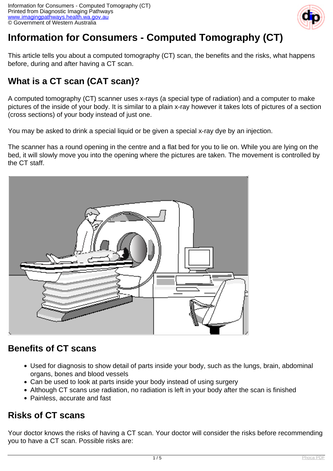

# **Information for Consumers - Computed Tomography (CT)**

This article tells you about a computed tomography (CT) scan, the benefits and the risks, what happens before, during and after having a CT scan.

# **What is a CT scan (CAT scan)?**

A computed tomography (CT) scanner uses x-rays (a special type of radiation) and a computer to make pictures of the inside of your body. It is similar to a plain x-ray however it takes lots of pictures of a section (cross sections) of your body instead of just one.

You may be asked to drink a special liquid or be given a special x-ray dye by an injection.

The scanner has a round opening in the centre and a flat bed for you to lie on. While you are lying on the bed, it will slowly move you into the opening where the pictures are taken. The movement is controlled by the CT staff.



### **Benefits of CT scans**

- Used for diagnosis to show detail of parts inside your body, such as the lungs, brain, abdominal organs, bones and blood vessels
- Can be used to look at parts inside your body instead of using surgery
- Although CT scans use radiation, no radiation is left in your body after the scan is finished
- Painless, accurate and fast

### **Risks of CT scans**

Your doctor knows the risks of having a CT scan. Your doctor will consider the risks before recommending you to have a CT scan. Possible risks are: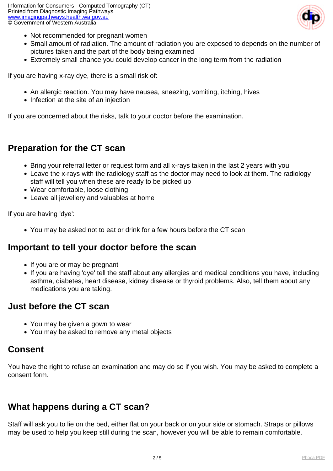

- Not recommended for pregnant women
- Small amount of radiation. The amount of radiation you are exposed to depends on the number of pictures taken and the part of the body being examined
- Extremely small chance you could develop cancer in the long term from the radiation

If you are having x-ray dye, there is a small risk of:

- An allergic reaction. You may have nausea, sneezing, vomiting, itching, hives
- Infection at the site of an injection

If you are concerned about the risks, talk to your doctor before the examination.

#### **Preparation for the CT scan**

- Bring your referral letter or request form and all x-rays taken in the last 2 years with you
- Leave the x-rays with the radiology staff as the doctor may need to look at them. The radiology staff will tell you when these are ready to be picked up
- Wear comfortable, loose clothing
- Leave all jewellery and valuables at home

If you are having 'dye':

You may be asked not to eat or drink for a few hours before the CT scan

#### **Important to tell your doctor before the scan**

- If you are or may be pregnant
- If you are having 'dye' tell the staff about any allergies and medical conditions you have, including asthma, diabetes, heart disease, kidney disease or thyroid problems. Also, tell them about any medications you are taking.

#### **Just before the CT scan**

- You may be given a gown to wear
- You may be asked to remove any metal objects

#### **Consent**

You have the right to refuse an examination and may do so if you wish. You may be asked to complete a consent form.

## **What happens during a CT scan?**

Staff will ask you to lie on the bed, either flat on your back or on your side or stomach. Straps or pillows may be used to help you keep still during the scan, however you will be able to remain comfortable.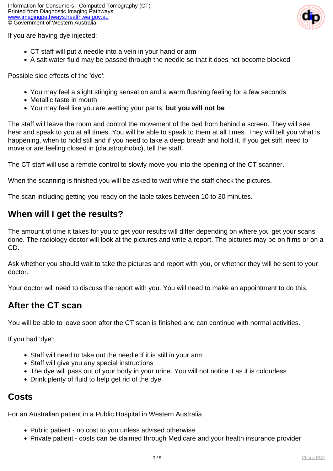

If you are having dye injected:

- CT staff will put a needle into a vein in your hand or arm
- A salt water fluid may be passed through the needle so that it does not become blocked

Possible side effects of the 'dye':

- You may feel a slight stinging sensation and a warm flushing feeling for a few seconds
- Metallic taste in mouth
- You may feel like you are wetting your pants, **but you will not be**

The staff will leave the room and control the movement of the bed from behind a screen. They will see, hear and speak to you at all times. You will be able to speak to them at all times. They will tell you what is happening, when to hold still and if you need to take a deep breath and hold it. If you get stiff, need to move or are feeling closed in (claustrophobic), tell the staff.

The CT staff will use a remote control to slowly move you into the opening of the CT scanner.

When the scanning is finished you will be asked to wait while the staff check the pictures.

The scan including getting you ready on the table takes between 10 to 30 minutes.

#### **When will I get the results?**

The amount of time it takes for you to get your results will differ depending on where you get your scans done. The radiology doctor will look at the pictures and write a report. The pictures may be on films or on a CD.

Ask whether you should wait to take the pictures and report with you, or whether they will be sent to your doctor.

Your doctor will need to discuss the report with you. You will need to make an appointment to do this.

### **After the CT scan**

You will be able to leave soon after the CT scan is finished and can continue with normal activities.

If you had 'dye':

- Staff will need to take out the needle if it is still in your arm
- Staff will give you any special instructions
- The dye will pass out of your body in your urine. You will not notice it as it is colourless
- Drink plenty of fluid to help get rid of the dye

#### **Costs**

For an Australian patient in a Public Hospital in Western Australia

- Public patient no cost to you unless advised otherwise
- Private patient costs can be claimed through Medicare and your health insurance provider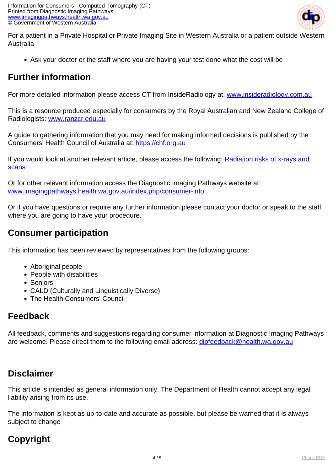

For a patient in a Private Hospital or Private Imaging Site in Western Australia or a patient outside Western Australia

Ask your doctor or the staff where you are having your test done what the cost will be

## **Further information**

For more detailed information please access CT from InsideRadiology at: [www.insideradiology.com.au](http://www.insideradiology.com.au/pages/view.php?T_id=61)

This is a resource produced especially for consumers by the Royal Australian and New Zealand College of Radiologists: [www.ranzcr.edu.au](http://www.ranzcr.edu.au/)

A guide to gathering information that you may need for making informed decisions is published by the Consumers' Health Council of Australia at: <https://chf.org.au>

If you would look at another relevant article, please access the following: [Radiation risks of x-rays and](index.php/consumer-info/general-information-about-diagnostic-imaging/radiation-risks-of-x-rays-and-scans) **[scans](index.php/consumer-info/general-information-about-diagnostic-imaging/radiation-risks-of-x-rays-and-scans)** 

Or for other relevant information access the Diagnostic Imaging Pathways website at: [www.imagingpathways.health.wa.gov.au/index.php/consumer-info](index.php/consumer-info)

Or if you have questions or require any further information please contact your doctor or speak to the staff where you are going to have your procedure.

## **Consumer participation**

This information has been reviewed by representatives from the following groups:

- Aboriginal people
- People with disabilities
- Seniors
- CALD (Culturally and Linguistically Diverse)
- The Health Consumers' Council

## **Feedback**

All feedback, comments and suggestions regarding consumer information at Diagnostic Imaging Pathways are welcome. Please direct them to the following email address: [dipfeedback@health.wa.gov.au](mailto:dipfeedback@health.wa.gov.au)

## **Disclaimer**

This article is intended as general information only. The Department of Health cannot accept any legal liability arising from its use.

The information is kept as up-to-date and accurate as possible, but please be warned that it is always subject to change

# **Copyright**